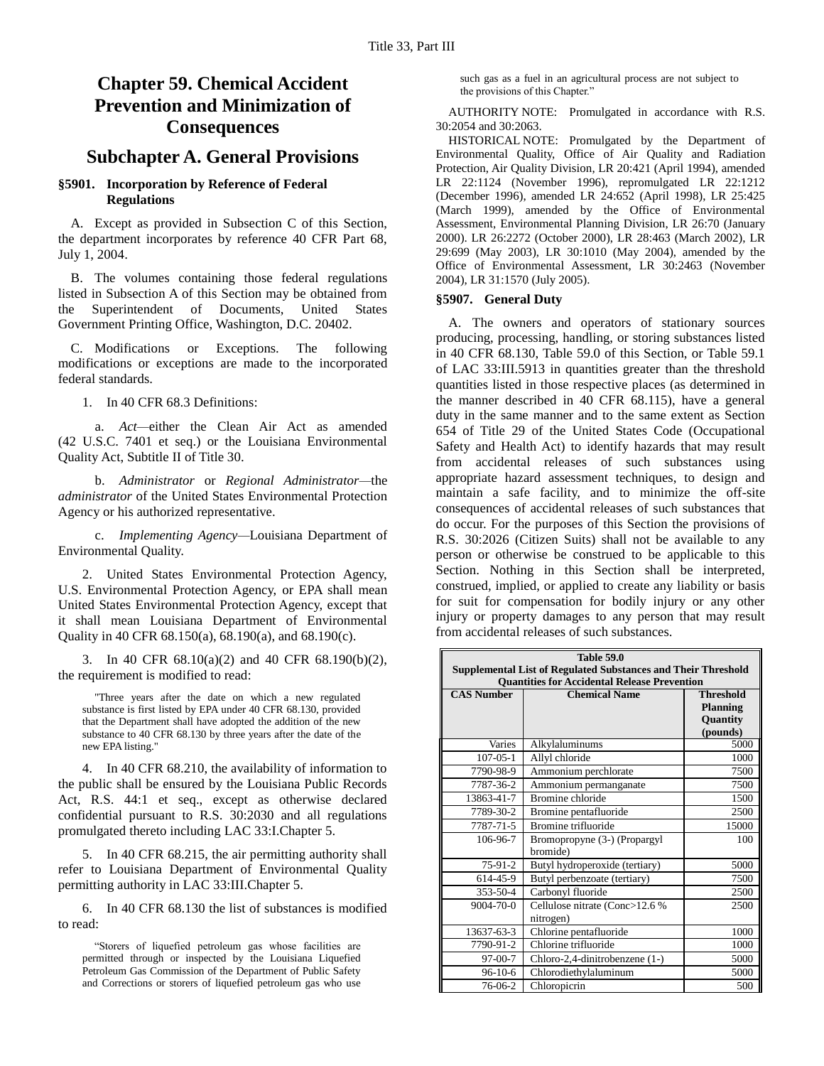# **Chapter 59. Chemical Accident Prevention and Minimization of Consequences**

## **Subchapter A. General Provisions**

### **§5901. Incorporation by Reference of Federal Regulations**

A. Except as provided in Subsection C of this Section, the department incorporates by reference 40 CFR Part 68, July 1, 2004.

B. The volumes containing those federal regulations listed in Subsection A of this Section may be obtained from the Superintendent of Documents, United States Government Printing Office, Washington, D.C. 20402.

C. Modifications or Exceptions. The following modifications or exceptions are made to the incorporated federal standards.

1. In 40 CFR 68.3 Definitions:

a. *Act—*either the Clean Air Act as amended (42 U.S.C. 7401 et seq.) or the Louisiana Environmental Quality Act, Subtitle II of Title 30.

b. *Administrator* or *Regional Administrator—*the *administrator* of the United States Environmental Protection Agency or his authorized representative.

c. *Implementing Agency—*Louisiana Department of Environmental Quality.

2. United States Environmental Protection Agency, U.S. Environmental Protection Agency, or EPA shall mean United States Environmental Protection Agency, except that it shall mean Louisiana Department of Environmental Quality in 40 CFR 68.150(a), 68.190(a), and 68.190(c).

3. In 40 CFR 68.10(a)(2) and 40 CFR 68.190(b)(2), the requirement is modified to read:

"Three years after the date on which a new regulated substance is first listed by EPA under 40 CFR 68.130, provided that the Department shall have adopted the addition of the new substance to 40 CFR 68.130 by three years after the date of the new EPA listing."

4. In 40 CFR 68.210, the availability of information to the public shall be ensured by the Louisiana Public Records Act, R.S. 44:1 et seq., except as otherwise declared confidential pursuant to R.S. 30:2030 and all regulations promulgated thereto including LAC 33:I.Chapter 5.

5. In 40 CFR 68.215, the air permitting authority shall refer to Louisiana Department of Environmental Quality permitting authority in LAC 33:III.Chapter 5.

6. In 40 CFR 68.130 the list of substances is modified to read:

"Storers of liquefied petroleum gas whose facilities are permitted through or inspected by the Louisiana Liquefied Petroleum Gas Commission of the Department of Public Safety and Corrections or storers of liquefied petroleum gas who use

such gas as a fuel in an agricultural process are not subject to the provisions of this Chapter."

AUTHORITY NOTE: Promulgated in accordance with R.S. 30:2054 and 30:2063.

HISTORICAL NOTE: Promulgated by the Department of Environmental Quality, Office of Air Quality and Radiation Protection, Air Quality Division, LR 20:421 (April 1994), amended LR 22:1124 (November 1996), repromulgated LR 22:1212 (December 1996), amended LR 24:652 (April 1998), LR 25:425 (March 1999), amended by the Office of Environmental Assessment, Environmental Planning Division, LR 26:70 (January 2000). LR 26:2272 (October 2000), LR 28:463 (March 2002), LR 29:699 (May 2003), LR 30:1010 (May 2004), amended by the Office of Environmental Assessment, LR 30:2463 (November 2004), LR 31:1570 (July 2005).

#### **§5907. General Duty**

A. The owners and operators of stationary sources producing, processing, handling, or storing substances listed in 40 CFR 68.130, Table 59.0 of this Section, or Table 59.1 of LAC 33:III.5913 in quantities greater than the threshold quantities listed in those respective places (as determined in the manner described in 40 CFR 68.115), have a general duty in the same manner and to the same extent as Section 654 of Title 29 of the United States Code (Occupational Safety and Health Act) to identify hazards that may result from accidental releases of such substances using appropriate hazard assessment techniques, to design and maintain a safe facility, and to minimize the off-site consequences of accidental releases of such substances that do occur. For the purposes of this Section the provisions of R.S. 30:2026 (Citizen Suits) shall not be available to any person or otherwise be construed to be applicable to this Section. Nothing in this Section shall be interpreted, construed, implied, or applied to create any liability or basis for suit for compensation for bodily injury or any other injury or property damages to any person that may result from accidental releases of such substances.

| <b>Table 59.0</b>                                                    |                                             |                      |  |  |
|----------------------------------------------------------------------|---------------------------------------------|----------------------|--|--|
| <b>Supplemental List of Regulated Substances and Their Threshold</b> |                                             |                      |  |  |
| <b>Quantities for Accidental Release Prevention</b>                  |                                             |                      |  |  |
| <b>CAS Number</b>                                                    | <b>Chemical Name</b>                        | <b>Threshold</b>     |  |  |
|                                                                      |                                             | <b>Planning</b>      |  |  |
|                                                                      |                                             | Quantity<br>(pounds) |  |  |
| Varies                                                               | Alkylaluminums                              | 5000                 |  |  |
| $107 - 05 - 1$                                                       | Allyl chloride                              | 1000                 |  |  |
| 7790-98-9                                                            | Ammonium perchlorate                        | 7500                 |  |  |
| 7787-36-2                                                            | Ammonium permanganate                       | 7500                 |  |  |
| 13863-41-7                                                           | Bromine chloride                            | 1500                 |  |  |
| 7789-30-2                                                            | Bromine pentafluoride                       | 2500                 |  |  |
| 7787-71-5                                                            | Bromine trifluoride                         | 15000                |  |  |
| 106-96-7                                                             |                                             | 100                  |  |  |
|                                                                      | Bromopropyne (3-) (Propargyl<br>bromide)    |                      |  |  |
| 75-91-2                                                              | Butyl hydroperoxide (tertiary)              | 5000                 |  |  |
| 614-45-9                                                             | Butyl perbenzoate (tertiary)                | 7500                 |  |  |
| 353-50-4                                                             | Carbonyl fluoride                           | 2500                 |  |  |
| 9004-70-0                                                            | Cellulose nitrate (Conc>12.6 %<br>nitrogen) | 2500                 |  |  |
| 13637-63-3                                                           | Chlorine pentafluoride                      | 1000                 |  |  |
| 7790-91-2                                                            | Chlorine trifluoride                        | 1000                 |  |  |
| 97-00-7                                                              | Chloro-2,4-dinitrobenzene (1-)              | 5000                 |  |  |
| $96-10-6$                                                            | Chlorodiethylaluminum                       | 5000                 |  |  |
| 76-06-2                                                              | Chloropicrin                                | 500                  |  |  |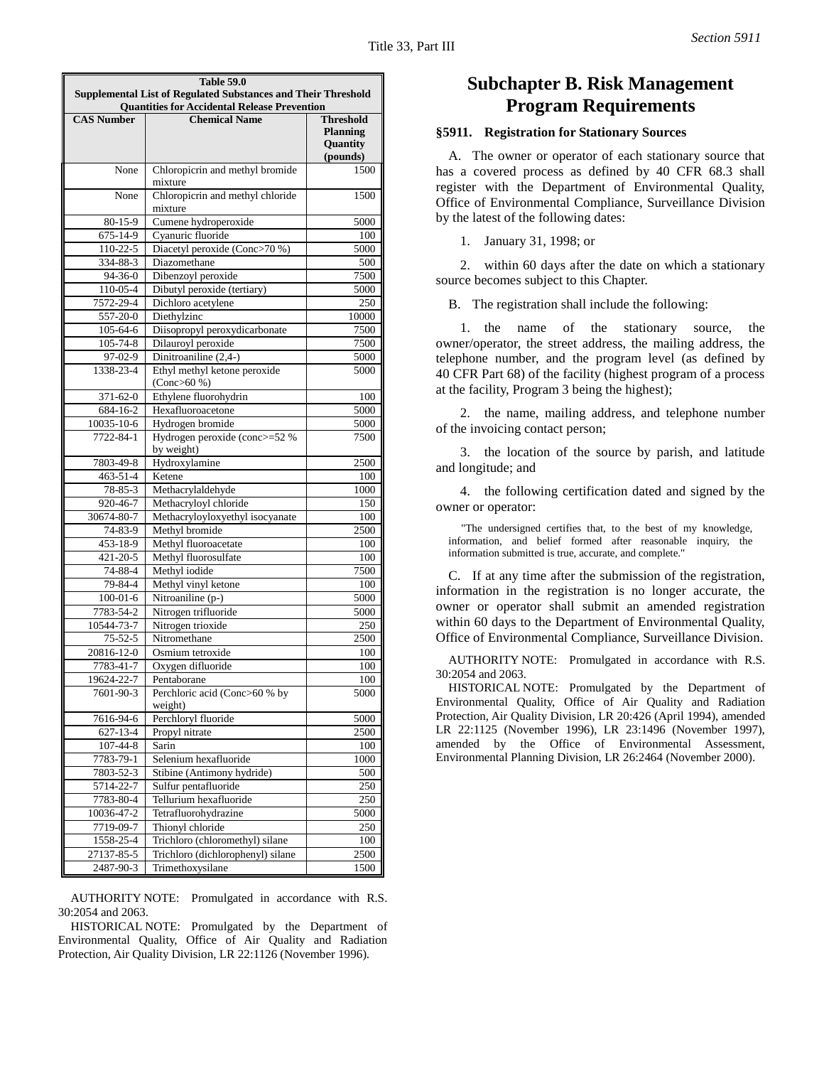| <b>Table 59.0</b>                                                                                                           |                                                   |                                                             |  |  |
|-----------------------------------------------------------------------------------------------------------------------------|---------------------------------------------------|-------------------------------------------------------------|--|--|
| <b>Supplemental List of Regulated Substances and Their Threshold</b><br><b>Quantities for Accidental Release Prevention</b> |                                                   |                                                             |  |  |
| <b>CAS Number</b>                                                                                                           | <b>Chemical Name</b>                              | <b>Threshold</b><br><b>Planning</b><br>Quantity<br>(pounds) |  |  |
| None                                                                                                                        | Chloropicrin and methyl bromide<br>mixture        | 1500                                                        |  |  |
| None                                                                                                                        | Chloropicrin and methyl chloride<br>mixture       | 1500                                                        |  |  |
| $80 - 15 - 9$                                                                                                               | Cumene hydroperoxide                              | 5000                                                        |  |  |
| 675-14-9                                                                                                                    | Cyanuric fluoride                                 | 100                                                         |  |  |
| 110-22-5                                                                                                                    | Diacetyl peroxide (Conc>70 %)                     | 5000                                                        |  |  |
| 334-88-3                                                                                                                    | Diazomethane                                      | 500                                                         |  |  |
| 94-36-0<br>110-05-4                                                                                                         | Dibenzoyl peroxide<br>Dibutyl peroxide (tertiary) | 7500<br>5000                                                |  |  |
| 7572-29-4                                                                                                                   | Dichloro acetylene                                | 250                                                         |  |  |
| 557-20-0                                                                                                                    | Diethylzinc                                       | 10000                                                       |  |  |
| 105-64-6                                                                                                                    | Diisopropyl peroxydicarbonate                     | 7500                                                        |  |  |
| 105-74-8                                                                                                                    | Dilauroyl peroxide                                | 7500                                                        |  |  |
| 97-02-9                                                                                                                     | Dinitroaniline (2,4-)                             | 5000                                                        |  |  |
| 1338-23-4                                                                                                                   | Ethyl methyl ketone peroxide<br>(Conc > 60 %)     | 5000                                                        |  |  |
| 371-62-0                                                                                                                    | Ethylene fluorohydrin                             | 100                                                         |  |  |
| 684-16-2                                                                                                                    | Hexafluoroacetone                                 | 5000                                                        |  |  |
| 10035-10-6                                                                                                                  | Hydrogen bromide                                  | 5000                                                        |  |  |
| 7722-84-1                                                                                                                   | Hydrogen peroxide (conc>=52 %<br>by weight)       | 7500                                                        |  |  |
| 7803-49-8                                                                                                                   | Hydroxylamine                                     | 2500                                                        |  |  |
| 463-51-4                                                                                                                    | Ketene                                            | 100                                                         |  |  |
| 78-85-3                                                                                                                     | Methacrylaldehyde                                 | 1000                                                        |  |  |
| 920-46-7                                                                                                                    | Methacryloyl chloride                             | 150                                                         |  |  |
| 30674-80-7                                                                                                                  | Methacryloyloxyethyl isocyanate                   | 100                                                         |  |  |
| 74-83-9<br>453-18-9                                                                                                         | Methyl bromide<br>Methyl fluoroacetate            | 2500<br>100                                                 |  |  |
| 421-20-5                                                                                                                    | Methyl fluorosulfate                              | 100                                                         |  |  |
| 74-88-4                                                                                                                     | Methyl iodide                                     | 7500                                                        |  |  |
| 79-84-4                                                                                                                     | Methyl vinyl ketone                               | 100                                                         |  |  |
| $100 - 01 - 6$                                                                                                              | Nitroaniline (p-)                                 | 5000                                                        |  |  |
| 7783-54-2                                                                                                                   | Nitrogen trifluoride                              | 5000                                                        |  |  |
| 10544-73-7                                                                                                                  | Nitrogen trioxide                                 | 250                                                         |  |  |
| $75 - 52 - 5$                                                                                                               | Nitromethane                                      | 2500                                                        |  |  |
| 20816-12-0<br>7783-41-7                                                                                                     | Osmium tetroxide<br>Oxygen difluoride             | 100<br>100                                                  |  |  |
| 19624-22-7                                                                                                                  | Pentaborane                                       | 100                                                         |  |  |
| 7601-90-3                                                                                                                   | Perchloric acid (Conc>60 % by<br>weight)          | 5000                                                        |  |  |
| 7616-94-6                                                                                                                   | Perchloryl fluoride                               | 5000                                                        |  |  |
| $627 - 13 - 4$                                                                                                              | Propyl nitrate                                    | 2500                                                        |  |  |
| 107-44-8                                                                                                                    | Sarin                                             | 100                                                         |  |  |
| 7783-79-1                                                                                                                   | Selenium hexafluoride                             | 1000                                                        |  |  |
| 7803-52-3                                                                                                                   | Stibine (Antimony hydride)                        | 500                                                         |  |  |
| 5714-22-7                                                                                                                   | Sulfur pentafluoride                              | 250                                                         |  |  |
| 7783-80-4<br>10036-47-2                                                                                                     | Tellurium hexafluoride                            | 250                                                         |  |  |
| 7719-09-7                                                                                                                   | Tetrafluorohydrazine<br>Thionyl chloride          | 5000<br>250                                                 |  |  |
| 1558-25-4                                                                                                                   | Trichloro (chloromethyl) silane                   | 100                                                         |  |  |
| 27137-85-5                                                                                                                  | Trichloro (dichlorophenyl) silane                 | 2500                                                        |  |  |
| 2487-90-3                                                                                                                   | Trimethoxysilane                                  | 1500                                                        |  |  |

AUTHORITY NOTE: Promulgated in accordance with R.S. 30:2054 and 2063.

HISTORICAL NOTE: Promulgated by the Department of Environmental Quality, Office of Air Quality and Radiation Protection, Air Quality Division, LR 22:1126 (November 1996).

## **Subchapter B. Risk Management Program Requirements**

### **§5911. Registration for Stationary Sources**

A. The owner or operator of each stationary source that has a covered process as defined by 40 CFR 68.3 shall register with the Department of Environmental Quality, Office of Environmental Compliance, Surveillance Division by the latest of the following dates:

1. January 31, 1998; or

2. within 60 days after the date on which a stationary source becomes subject to this Chapter.

B. The registration shall include the following:

1. the name of the stationary source, the owner/operator, the street address, the mailing address, the telephone number, and the program level (as defined by 40 CFR Part 68) of the facility (highest program of a process at the facility, Program 3 being the highest);

2. the name, mailing address, and telephone number of the invoicing contact person;

3. the location of the source by parish, and latitude and longitude; and

4. the following certification dated and signed by the owner or operator:

"The undersigned certifies that, to the best of my knowledge, information, and belief formed after reasonable inquiry, the information submitted is true, accurate, and complete."

C. If at any time after the submission of the registration, information in the registration is no longer accurate, the owner or operator shall submit an amended registration within 60 days to the Department of Environmental Quality, Office of Environmental Compliance, Surveillance Division.

AUTHORITY NOTE: Promulgated in accordance with R.S. 30:2054 and 2063.

HISTORICAL NOTE: Promulgated by the Department of Environmental Quality, Office of Air Quality and Radiation Protection, Air Quality Division, LR 20:426 (April 1994), amended LR 22:1125 (November 1996), LR 23:1496 (November 1997), amended by the Office of Environmental Assessment, Environmental Planning Division, LR 26:2464 (November 2000).